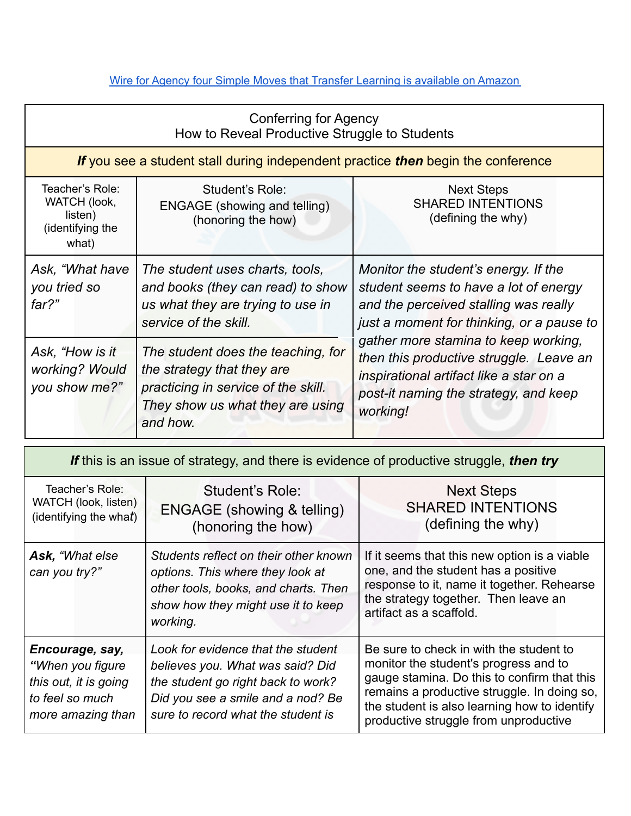## Wire for Agency four Simple Moves that Transfer Learning is [available](https://www.amazon.com/WIRE-Agency-Simple-Transfer-Learning/dp/1987332024) on Amazon

| <b>Conferring for Agency</b><br>How to Reveal Productive Struggle to Students    |                                                                                                                                                         |                                                                                                                                                                                                                                                                                                                                                        |  |  |  |
|----------------------------------------------------------------------------------|---------------------------------------------------------------------------------------------------------------------------------------------------------|--------------------------------------------------------------------------------------------------------------------------------------------------------------------------------------------------------------------------------------------------------------------------------------------------------------------------------------------------------|--|--|--|
| If you see a student stall during independent practice then begin the conference |                                                                                                                                                         |                                                                                                                                                                                                                                                                                                                                                        |  |  |  |
| Teacher's Role:<br>WATCH (look,<br>listen)<br>(identifying the<br>what)          | Student's Role:<br><b>ENGAGE</b> (showing and telling)<br>(honoring the how)                                                                            | <b>Next Steps</b><br><b>SHARED INTENTIONS</b><br>(defining the why)                                                                                                                                                                                                                                                                                    |  |  |  |
| Ask, "What have<br>you tried so<br>far?"                                         | The student uses charts, tools,<br>and books (they can read) to show<br>us what they are trying to use in<br>service of the skill.                      | Monitor the student's energy. If the<br>student seems to have a lot of energy<br>and the perceived stalling was really<br>just a moment for thinking, or a pause to<br>gather more stamina to keep working,<br>then this productive struggle. Leave an<br>inspirational artifact like a star on a<br>post-it naming the strategy, and keep<br>working! |  |  |  |
| Ask, "How is it<br>working? Would<br>you show me?"                               | The student does the teaching, for<br>the strategy that they are<br>practicing in service of the skill.<br>They show us what they are using<br>and how. |                                                                                                                                                                                                                                                                                                                                                        |  |  |  |

| If this is an issue of strategy, and there is evidence of productive struggle, then try               |                                                                                                                                                                                         |                                                                                                                                                                                                                                                                         |  |  |
|-------------------------------------------------------------------------------------------------------|-----------------------------------------------------------------------------------------------------------------------------------------------------------------------------------------|-------------------------------------------------------------------------------------------------------------------------------------------------------------------------------------------------------------------------------------------------------------------------|--|--|
| Teacher's Role:<br>WATCH (look, listen)<br>(identifying the what)                                     | Student's Role:<br><b>ENGAGE</b> (showing & telling)<br>(honoring the how)                                                                                                              | <b>Next Steps</b><br><b>SHARED INTENTIONS</b><br>(defining the why)                                                                                                                                                                                                     |  |  |
| Ask, "What else<br>can you try?"                                                                      | Students reflect on their other known<br>options. This where they look at<br>other tools, books, and charts. Then<br>show how they might use it to keep<br>working.                     | If it seems that this new option is a viable<br>one, and the student has a positive<br>response to it, name it together. Rehearse<br>the strategy together. Then leave an<br>artifact as a scaffold.                                                                    |  |  |
| Encourage, say,<br>"When you figure"<br>this out, it is going<br>to feel so much<br>more amazing than | Look for evidence that the student<br>believes you. What was said? Did<br>the student go right back to work?<br>Did you see a smile and a nod? Be<br>sure to record what the student is | Be sure to check in with the student to<br>monitor the student's progress and to<br>gauge stamina. Do this to confirm that this<br>remains a productive struggle. In doing so,<br>the student is also learning how to identify<br>productive struggle from unproductive |  |  |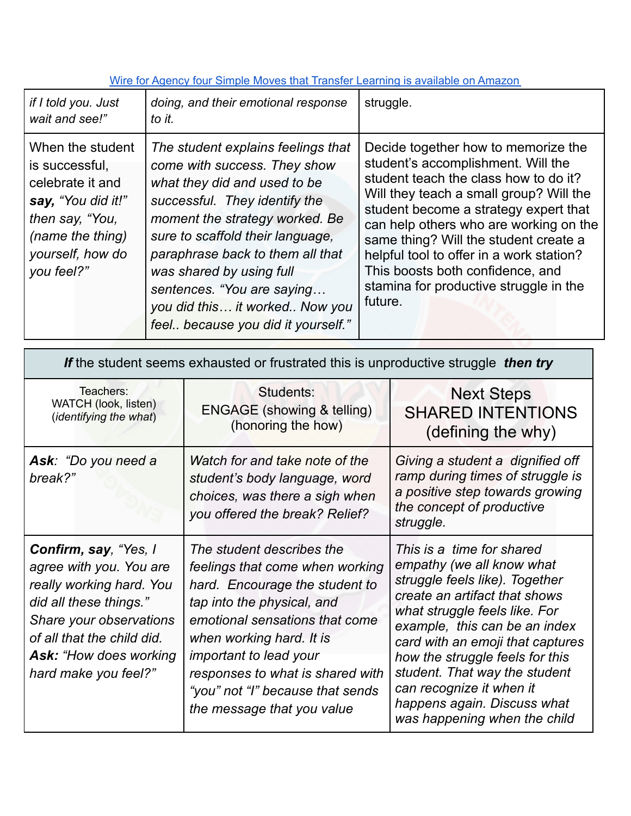## Wire for Agency four Simple Moves that Transfer Learning is [available](https://www.amazon.com/WIRE-Agency-Simple-Transfer-Learning/dp/1987332024) on Amazon

| if I told you. Just<br>wait and see!"                                                                                                                 | doing, and their emotional response<br>to it.                                                                                                                                                                                                                                                                                                                                   | struggle.                                                                                                                                                                                                                                                                                                                                                                                                                      |
|-------------------------------------------------------------------------------------------------------------------------------------------------------|---------------------------------------------------------------------------------------------------------------------------------------------------------------------------------------------------------------------------------------------------------------------------------------------------------------------------------------------------------------------------------|--------------------------------------------------------------------------------------------------------------------------------------------------------------------------------------------------------------------------------------------------------------------------------------------------------------------------------------------------------------------------------------------------------------------------------|
| When the student<br>is successful.<br>celebrate it and<br>say, "You did it!"<br>then say, "You,<br>(name the thing)<br>yourself, how do<br>you feel?" | The student explains feelings that<br>come with success. They show<br>what they did and used to be<br>successful. They identify the<br>moment the strategy worked. Be<br>sure to scaffold their language,<br>paraphrase back to them all that<br>was shared by using full<br>sentences. "You are saying<br>you did this it worked Now you<br>feel because you did it yourself." | Decide together how to memorize the<br>student's accomplishment. Will the<br>student teach the class how to do it?<br>Will they teach a small group? Will the<br>student become a strategy expert that<br>can help others who are working on the<br>same thing? Will the student create a<br>helpful tool to offer in a work station?<br>This boosts both confidence, and<br>stamina for productive struggle in the<br>future. |

| If the student seems exhausted or frustrated this is unproductive struggle then try                                                                                                                                      |                                                                                                                                                                                                                                                                                                                                   |                                                                                                                                                                                                                                                                                                                                                                                                |  |  |
|--------------------------------------------------------------------------------------------------------------------------------------------------------------------------------------------------------------------------|-----------------------------------------------------------------------------------------------------------------------------------------------------------------------------------------------------------------------------------------------------------------------------------------------------------------------------------|------------------------------------------------------------------------------------------------------------------------------------------------------------------------------------------------------------------------------------------------------------------------------------------------------------------------------------------------------------------------------------------------|--|--|
| Teachers:<br>WATCH (look, listen)<br>(identifying the what)                                                                                                                                                              | Students:<br><b>ENGAGE</b> (showing & telling)<br>(honoring the how)                                                                                                                                                                                                                                                              | <b>Next Steps</b><br><b>SHARED INTENTIONS</b><br>(defining the why)                                                                                                                                                                                                                                                                                                                            |  |  |
| Ask: "Do you need a<br>break?"                                                                                                                                                                                           | Watch for and take note of the<br>student's body language, word<br>choices, was there a sigh when<br>you offered the break? Relief?                                                                                                                                                                                               | Giving a student a dignified off<br>ramp during times of struggle is<br>a positive step towards growing<br>the concept of productive<br>struggle.                                                                                                                                                                                                                                              |  |  |
| Confirm, say, "Yes, I<br>agree with you. You are<br>really working hard. You<br>did all these things."<br>Share your observations<br>of all that the child did.<br><b>Ask: "How does working</b><br>hard make you feel?" | The student describes the<br>feelings that come when working<br>hard. Encourage the student to<br>tap into the physical, and<br>emotional sensations that come<br>when working hard. It is<br><i>important to lead your</i><br>responses to what is shared with<br>"you" not "I" because that sends<br>the message that you value | This is a time for shared<br>empathy (we all know what<br>struggle feels like). Together<br>create an artifact that shows<br>what struggle feels like. For<br>example, this can be an index<br>card with an emoji that captures<br>how the struggle feels for this<br>student. That way the student<br>can recognize it when it<br>happens again. Discuss what<br>was happening when the child |  |  |